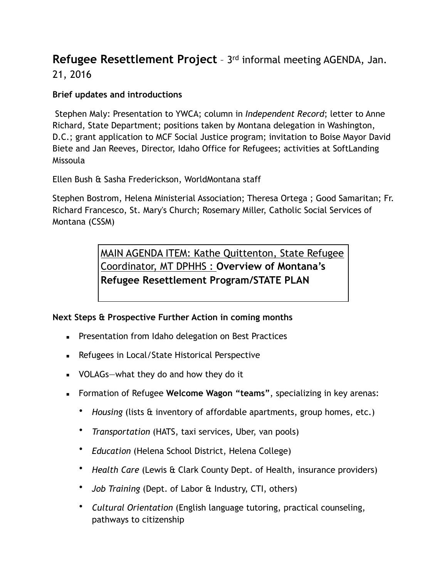## **Refugee Resettlement Project** - 3<sup>rd</sup> informal meeting AGENDA, Jan. 21, 2016

## **Brief updates and introductions**

Stephen Maly: Presentation to YWCA; column in *Independent Record*; letter to Anne Richard, State Department; positions taken by Montana delegation in Washington, D.C.; grant application to MCF Social Justice program; invitation to Boise Mayor David Biete and Jan Reeves, Director, Idaho Office for Refugees; activities at SoftLanding Missoula

Ellen Bush & Sasha Frederickson, WorldMontana staff

Stephen Bostrom, Helena Ministerial Association; Theresa Ortega ; Good Samaritan; Fr. Richard Francesco, St. Mary's Church; Rosemary Miller, Catholic Social Services of Montana (CSSM)

> MAIN AGENDA ITEM: Kathe Quittenton, State Refugee Coordinator, MT DPHHS : **Overview of Montana's Refugee Resettlement Program/STATE PLAN**

## **Next Steps & Prospective Further Action in coming months**

- **EXEC** Presentation from Idaho delegation on Best Practices
- Refugees in Local/State Historical Perspective
- $\blacksquare$  VOLAGs—what they do and how they do it
- Formation of Refugee **Welcome Wagon "teams"**, specializing in key arenas:
	- *Housing* (lists & inventory of affordable apartments, group homes, etc.)
	- *Transportation* (HATS, taxi services, Uber, van pools)
	- *Education* (Helena School District, Helena College)
	- *Health Care* (Lewis & Clark County Dept. of Health, insurance providers)
	- *Job Training* (Dept. of Labor & Industry, CTI, others)
	- *Cultural Orientation* (English language tutoring, practical counseling, pathways to citizenship